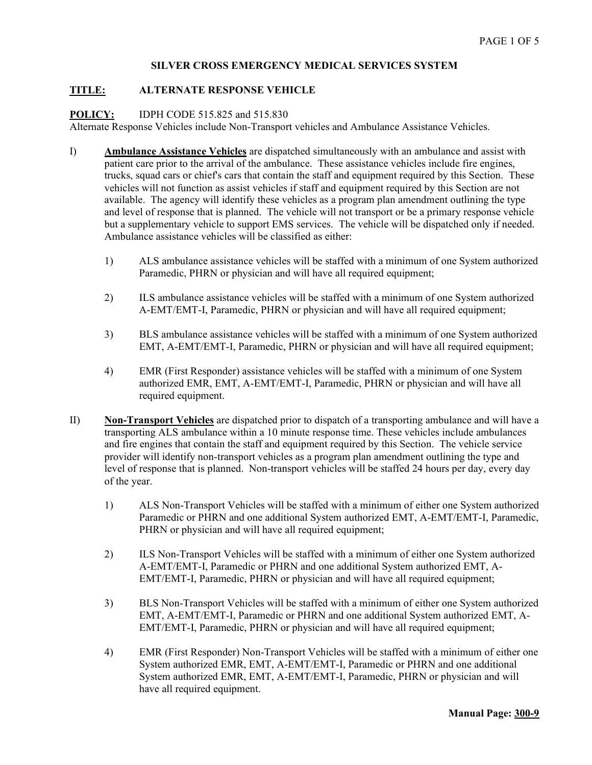### **TITLE: ALTERNATE RESPONSE VEHICLE**

**POLICY:** IDPH CODE 515.825 and 515.830

Alternate Response Vehicles include Non-Transport vehicles and Ambulance Assistance Vehicles.

- I) **Ambulance Assistance Vehicles** are dispatched simultaneously with an ambulance and assist with patient care prior to the arrival of the ambulance. These assistance vehicles include fire engines, trucks, squad cars or chief's cars that contain the staff and equipment required by this Section. These vehicles will not function as assist vehicles if staff and equipment required by this Section are not available. The agency will identify these vehicles as a program plan amendment outlining the type and level of response that is planned. The vehicle will not transport or be a primary response vehicle but a supplementary vehicle to support EMS services. The vehicle will be dispatched only if needed. Ambulance assistance vehicles will be classified as either:
	- 1) ALS ambulance assistance vehicles will be staffed with a minimum of one System authorized Paramedic, PHRN or physician and will have all required equipment;
	- 2) ILS ambulance assistance vehicles will be staffed with a minimum of one System authorized A-EMT/EMT-I, Paramedic, PHRN or physician and will have all required equipment;
	- 3) BLS ambulance assistance vehicles will be staffed with a minimum of one System authorized EMT, A-EMT/EMT-I, Paramedic, PHRN or physician and will have all required equipment;
	- 4) EMR (First Responder) assistance vehicles will be staffed with a minimum of one System authorized EMR, EMT, A-EMT/EMT-I, Paramedic, PHRN or physician and will have all required equipment.
- II) **Non-Transport Vehicles** are dispatched prior to dispatch of a transporting ambulance and will have a transporting ALS ambulance within a 10 minute response time. These vehicles include ambulances and fire engines that contain the staff and equipment required by this Section. The vehicle service provider will identify non-transport vehicles as a program plan amendment outlining the type and level of response that is planned. Non-transport vehicles will be staffed 24 hours per day, every day of the year.
	- 1) ALS Non-Transport Vehicles will be staffed with a minimum of either one System authorized Paramedic or PHRN and one additional System authorized EMT, A-EMT/EMT-I, Paramedic, PHRN or physician and will have all required equipment;
	- 2) ILS Non-Transport Vehicles will be staffed with a minimum of either one System authorized A-EMT/EMT-I, Paramedic or PHRN and one additional System authorized EMT, A-EMT/EMT-I, Paramedic, PHRN or physician and will have all required equipment;
	- 3) BLS Non-Transport Vehicles will be staffed with a minimum of either one System authorized EMT, A-EMT/EMT-I, Paramedic or PHRN and one additional System authorized EMT, A-EMT/EMT-I, Paramedic, PHRN or physician and will have all required equipment;
	- 4) EMR (First Responder) Non-Transport Vehicles will be staffed with a minimum of either one System authorized EMR, EMT, A-EMT/EMT-I, Paramedic or PHRN and one additional System authorized EMR, EMT, A-EMT/EMT-I, Paramedic, PHRN or physician and will have all required equipment.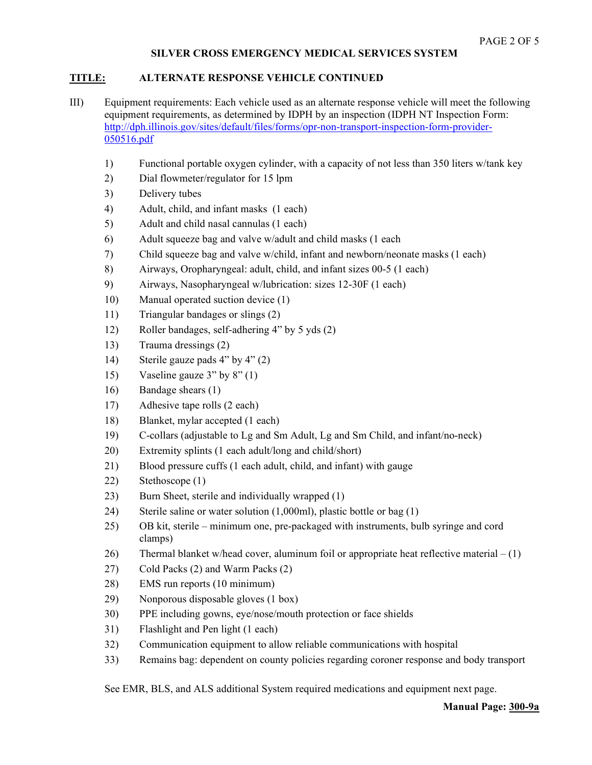# **TITLE: ALTERNATE RESPONSE VEHICLE CONTINUED**

- III) Equipment requirements: Each vehicle used as an alternate response vehicle will meet the following equipment requirements, as determined by IDPH by an inspection (IDPH NT Inspection Form: [http://dph.illinois.gov/sites/default/files/forms/opr-non-transport-inspection-form-provider-](http://dph.illinois.gov/sites/default/files/forms/opr-non-transport-inspection-form-provider-050516.pdf)[050516.pdf](http://dph.illinois.gov/sites/default/files/forms/opr-non-transport-inspection-form-provider-050516.pdf)
	- 1) Functional portable oxygen cylinder, with a capacity of not less than 350 liters w/tank key
	- 2) Dial flowmeter/regulator for 15 lpm
	- 3) Delivery tubes
	- 4) Adult, child, and infant masks (1 each)
	- 5) Adult and child nasal cannulas (1 each)
	- 6) Adult squeeze bag and valve w/adult and child masks (1 each
	- 7) Child squeeze bag and valve w/child, infant and newborn/neonate masks (1 each)
	- 8) Airways, Oropharyngeal: adult, child, and infant sizes 00-5 (1 each)
	- 9) Airways, Nasopharyngeal w/lubrication: sizes 12-30F (1 each)
	- 10) Manual operated suction device (1)
	- 11) Triangular bandages or slings (2)
	- 12) Roller bandages, self-adhering 4" by 5 yds (2)
	- 13) Trauma dressings (2)
	- 14) Sterile gauze pads 4" by 4" (2)
	- 15) Vaseline gauze 3" by 8" (1)
	- 16) Bandage shears (1)
	- 17) Adhesive tape rolls (2 each)
	- 18) Blanket, mylar accepted (1 each)
	- 19) C-collars (adjustable to Lg and Sm Adult, Lg and Sm Child, and infant/no-neck)
	- 20) Extremity splints (1 each adult/long and child/short)
	- 21) Blood pressure cuffs (1 each adult, child, and infant) with gauge
	- 22) Stethoscope (1)
	- 23) Burn Sheet, sterile and individually wrapped (1)
	- 24) Sterile saline or water solution (1,000ml), plastic bottle or bag (1)
	- 25) OB kit, sterile minimum one, pre-packaged with instruments, bulb syringe and cord clamps)
	- 26) Thermal blanket w/head cover, aluminum foil or appropriate heat reflective material  $(1)$
	- 27) Cold Packs (2) and Warm Packs (2)
	- 28) EMS run reports (10 minimum)
	- 29) Nonporous disposable gloves (1 box)
	- 30) PPE including gowns, eye/nose/mouth protection or face shields
	- 31) Flashlight and Pen light (1 each)
	- 32) Communication equipment to allow reliable communications with hospital
	- 33) Remains bag: dependent on county policies regarding coroner response and body transport

See EMR, BLS, and ALS additional System required medications and equipment next page.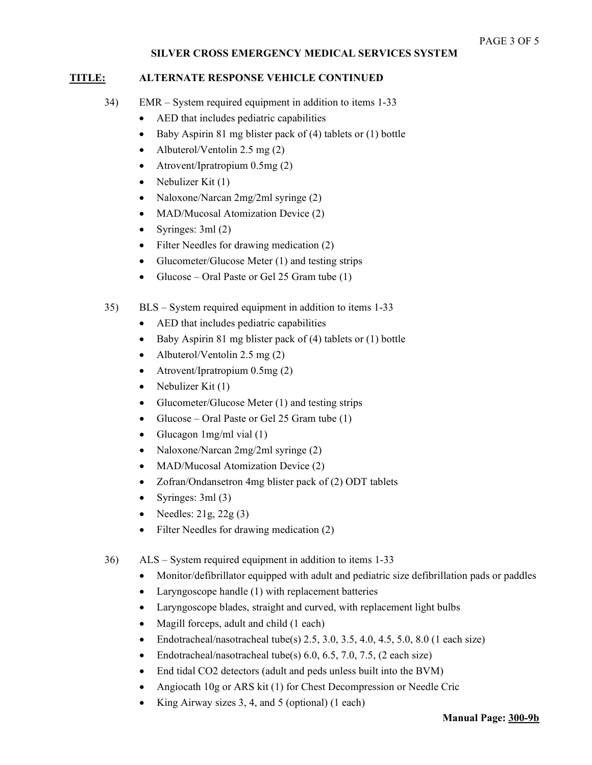#### **TITLE: ALTERNATE RESPONSE VEHICLE CONTINUED**

- 34) EMR System required equipment in addition to items 1-33
	- AED that includes pediatric capabilities
	- Baby Aspirin 81 mg blister pack of (4) tablets or (1) bottle
	- Albuterol/Ventolin 2.5 mg (2)
	- Atrovent/Ipratropium 0.5mg (2)
	- Nebulizer Kit  $(1)$
	- Naloxone/Narcan 2mg/2ml syringe (2)
	- MAD/Mucosal Atomization Device (2)
	- Syringes: 3ml (2)
	- Filter Needles for drawing medication (2)
	- Glucometer/Glucose Meter (1) and testing strips
	- Glucose Oral Paste or Gel 25 Gram tube  $(1)$
- 35) BLS System required equipment in addition to items 1-33
	- AED that includes pediatric capabilities
	- Baby Aspirin 81 mg blister pack of (4) tablets or (1) bottle
	- Albuterol/Ventolin 2.5 mg  $(2)$
	- Atrovent/Ipratropium 0.5mg (2)
	- Nebulizer Kit (1)
	- Glucometer/Glucose Meter (1) and testing strips
	- Glucose Oral Paste or Gel 25 Gram tube (1)
	- Glucagon 1mg/ml vial (1)
	- Naloxone/Narcan 2mg/2ml syringe (2)
	- MAD/Mucosal Atomization Device (2)
	- Zofran/Ondansetron 4mg blister pack of (2) ODT tablets
	- Syringes: 3ml (3)
	- Needles:  $21g$ ,  $22g$  (3)
	- Filter Needles for drawing medication (2)
- 36) ALS System required equipment in addition to items 1-33
	- Monitor/defibrillator equipped with adult and pediatric size defibrillation pads or paddles
	- Laryngoscope handle (1) with replacement batteries
	- Laryngoscope blades, straight and curved, with replacement light bulbs
	- Magill forceps, adult and child (1 each)
	- Endotracheal/nasotracheal tube(s)  $2.5, 3.0, 3.5, 4.0, 4.5, 5.0, 8.0$  (1 each size)
	- Endotracheal/nasotracheal tube(s)  $6.0, 6.5, 7.0, 7.5, (2 each size)$
	- End tidal CO2 detectors (adult and peds unless built into the BVM)
	- Angiocath 10g or ARS kit (1) for Chest Decompression or Needle Cric
	- King Airway sizes 3, 4, and 5 (optional) (1 each)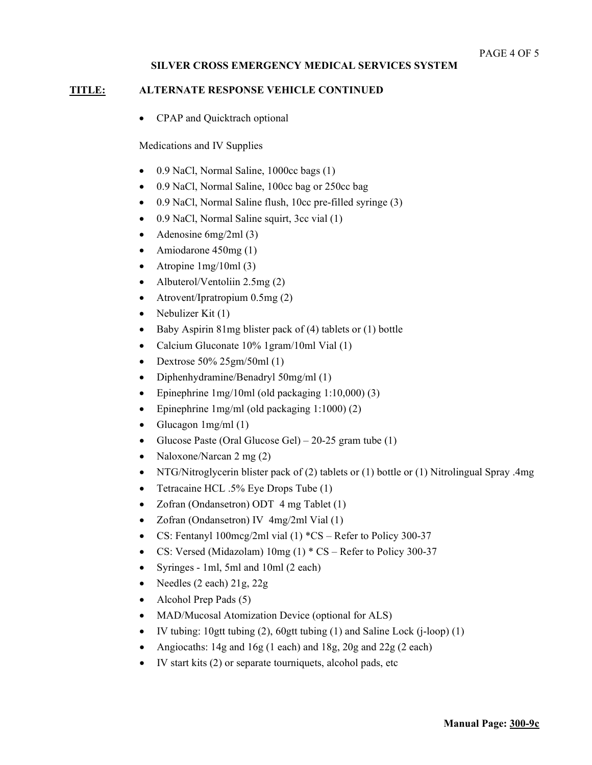# **TITLE: ALTERNATE RESPONSE VEHICLE CONTINUED**

• CPAP and Quicktrach optional

Medications and IV Supplies

- $\bullet$  0.9 NaCl, Normal Saline, 1000cc bags (1)
- 0.9 NaCl, Normal Saline, 100cc bag or 250cc bag
- 0.9 NaCl, Normal Saline flush, 10cc pre-filled syringe (3)
- 0.9 NaCl, Normal Saline squirt, 3cc vial (1)
- Adenosine 6mg/2ml (3)
- Amiodarone 450mg (1)
- Atropine 1mg/10ml (3)
- Albuterol/Ventoliin 2.5mg (2)
- Atrovent/Ipratropium 0.5mg (2)
- Nebulizer Kit  $(1)$
- Baby Aspirin 81mg blister pack of (4) tablets or (1) bottle
- Calcium Gluconate 10% 1gram/10ml Vial (1)
- Dextrose  $50\%$  25gm/50ml (1)
- Diphenhydramine/Benadryl 50mg/ml (1)
- Epinephrine 1mg/10ml (old packaging 1:10,000) (3)
- Epinephrine 1mg/ml (old packaging 1:1000) (2)
- Glucagon  $1$ mg/ml $(1)$
- Glucose Paste (Oral Glucose Gel) 20-25 gram tube  $(1)$
- Naloxone/Narcan 2 mg (2)
- NTG/Nitroglycerin blister pack of (2) tablets or (1) bottle or (1) Nitrolingual Spray .4mg
- Tetracaine HCL .5% Eye Drops Tube (1)
- Zofran (Ondansetron) ODT 4 mg Tablet (1)
- Zofran (Ondansetron) IV 4mg/2ml Vial (1)
- CS: Fentanyl 100mcg/2ml vial (1) \*CS Refer to Policy 300-37
- CS: Versed (Midazolam) 10mg (1) \* CS Refer to Policy 300-37
- Syringes 1ml, 5ml and 10ml (2 each)
- Needles (2 each) 21g, 22g
- Alcohol Prep Pads (5)
- MAD/Mucosal Atomization Device (optional for ALS)
- IV tubing: 10gtt tubing (2), 60gtt tubing (1) and Saline Lock (j-loop) (1)
- Angiocaths: 14g and 16g (1 each) and 18g, 20g and 22g (2 each)
- IV start kits (2) or separate tourniquets, alcohol pads, etc